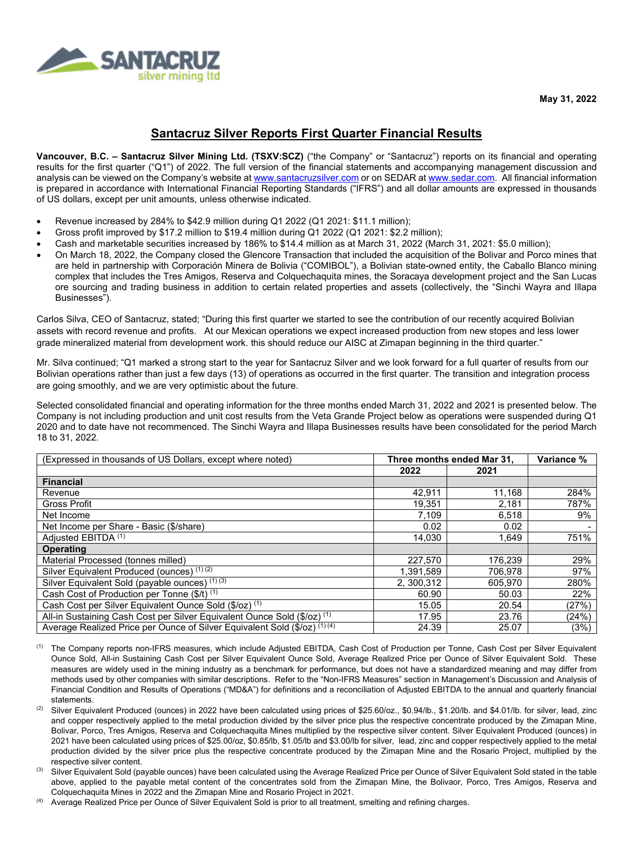

**May 31, 2022**

# **Santacruz Silver Reports First Quarter Financial Results**

**Vancouver, B.C. – Santacruz Silver Mining Ltd. (TSXV:SCZ)** ("the Company" or "Santacruz") reports on its financial and operating results for the first quarter ("Q1") of 2022. The full version of the financial statements and accompanying management discussion and analysis can be viewed on the Company's website a[t www.santacruzsilver.com](http://www.santacruzsilver.com/) or on SEDAR a[t www.sedar.com.](http://www.sedar.com/) All financial information is prepared in accordance with International Financial Reporting Standards ("IFRS") and all dollar amounts are expressed in thousands of US dollars, except per unit amounts, unless otherwise indicated.

- Revenue increased by 284% to \$42.9 million during Q1 2022 (Q1 2021: \$11.1 million);
- Gross profit improved by \$17.2 million to \$19.4 million during Q1 2022 (Q1 2021: \$2.2 million);
- Cash and marketable securities increased by 186% to \$14.4 million as at March 31, 2022 (March 31, 2021: \$5.0 million);
- On March 18, 2022, the Company closed the Glencore Transaction that included the acquisition of the Bolivar and Porco mines that are held in partnership with Corporación Minera de Bolivia ("COMIBOL"), a Bolivian state-owned entity, the Caballo Blanco mining complex that includes the Tres Amigos, Reserva and Colquechaquita mines, the Soracaya development project and the San Lucas ore sourcing and trading business in addition to certain related properties and assets (collectively, the "Sinchi Wayra and Illapa Businesses").

Carlos Silva, CEO of Santacruz, stated; "During this first quarter we started to see the contribution of our recently acquired Bolivian assets with record revenue and profits. At our Mexican operations we expect increased production from new stopes and less lower grade mineralized material from development work. this should reduce our AISC at Zimapan beginning in the third quarter."

Mr. Silva continued; "Q1 marked a strong start to the year for Santacruz Silver and we look forward for a full quarter of results from our Bolivian operations rather than just a few days (13) of operations as occurred in the first quarter. The transition and integration process are going smoothly, and we are very optimistic about the future.

Selected consolidated financial and operating information for the three months ended March 31, 2022 and 2021 is presented below. The Company is not including production and unit cost results from the Veta Grande Project below as operations were suspended during Q1 2020 and to date have not recommenced. The Sinchi Wayra and Illapa Businesses results have been consolidated for the period March 18 to 31, 2022.

| (Expressed in thousands of US Dollars, except where noted)                 | Three months ended Mar 31, |         | Variance % |
|----------------------------------------------------------------------------|----------------------------|---------|------------|
|                                                                            | 2022                       | 2021    |            |
| <b>Financial</b>                                                           |                            |         |            |
| Revenue                                                                    | 42,911                     | 11.168  | 284%       |
| <b>Gross Profit</b>                                                        | 19,351                     | 2,181   | 787%       |
| Net Income                                                                 | 7.109                      | 6,518   | 9%         |
| Net Income per Share - Basic (\$/share)                                    | 0.02                       | 0.02    |            |
| Adjusted EBITDA (1)                                                        | 14.030                     | 1.649   | 751%       |
| <b>Operating</b>                                                           |                            |         |            |
| Material Processed (tonnes milled)                                         | 227,570                    | 176.239 | 29%        |
| Silver Equivalent Produced (ounces) (1)(2)                                 | 1.391.589                  | 706.978 | 97%        |
| Silver Equivalent Sold (payable ounces) (1) (3)                            | 2, 300, 312                | 605.970 | 280%       |
| Cash Cost of Production per Tonne (\$/t) (1)                               | 60.90                      | 50.03   | 22%        |
| Cash Cost per Silver Equivalent Ounce Sold (\$/oz) <sup>(1)</sup>          | 15.05                      | 20.54   | (27%)      |
| All-in Sustaining Cash Cost per Silver Equivalent Ounce Sold (\$/oz) (1)   | 17.95                      | 23.76   | (24%)      |
| Average Realized Price per Ounce of Silver Equivalent Sold (\$/oz) (1) (4) | 24.39                      | 25.07   | (3%)       |

- (1) The Company reports non-IFRS measures, which include Adjusted EBITDA, Cash Cost of Production per Tonne, Cash Cost per Silver Equivalent Ounce Sold, All-in Sustaining Cash Cost per Silver Equivalent Ounce Sold, Average Realized Price per Ounce of Silver Equivalent Sold. These measures are widely used in the mining industry as a benchmark for performance, but does not have a standardized meaning and may differ from methods used by other companies with similar descriptions. Refer to the "Non-IFRS Measures" section in Management's Discussion and Analysis of Financial Condition and Results of Operations ("MD&A") for definitions and a reconciliation of Adjusted EBITDA to the annual and quarterly financial statements.
- (2) Silver Equivalent Produced (ounces) in 2022 have been calculated using prices of \$25.60/oz., \$0.94/lb., \$1.20/lb. and \$4.01/lb. for silver, lead, zinc and copper respectively applied to the metal production divided by the silver price plus the respective concentrate produced by the Zimapan Mine, Bolivar, Porco, Tres Amigos, Reserva and Colquechaquita Mines multiplied by the respective silver content. Silver Equivalent Produced (ounces) in 2021 have been calculated using prices of \$25.00/oz, \$0.85/lb, \$1.05/lb and \$3.00/lb for silver, lead, zinc and copper respectively applied to the metal production divided by the silver price plus the respective concentrate produced by the Zimapan Mine and the Rosario Project, multiplied by the respective silver content.<br>(3) Silver Equivalent Sold (payable ounces) have been calculated using the Average Realized Price per Ounce of Silver Equivalent Sold stated in the table
- above, applied to the payable metal content of the concentrates sold from the Zimapan Mine, the Bolivaor, Porco, Tres Amigos, Reserva and Colquechaquita Mines in 2022 and the Zimapan Mine and Rosario Project in 2021.
- <sup>(4)</sup> Average Realized Price per Ounce of Silver Equivalent Sold is prior to all treatment, smelting and refining charges.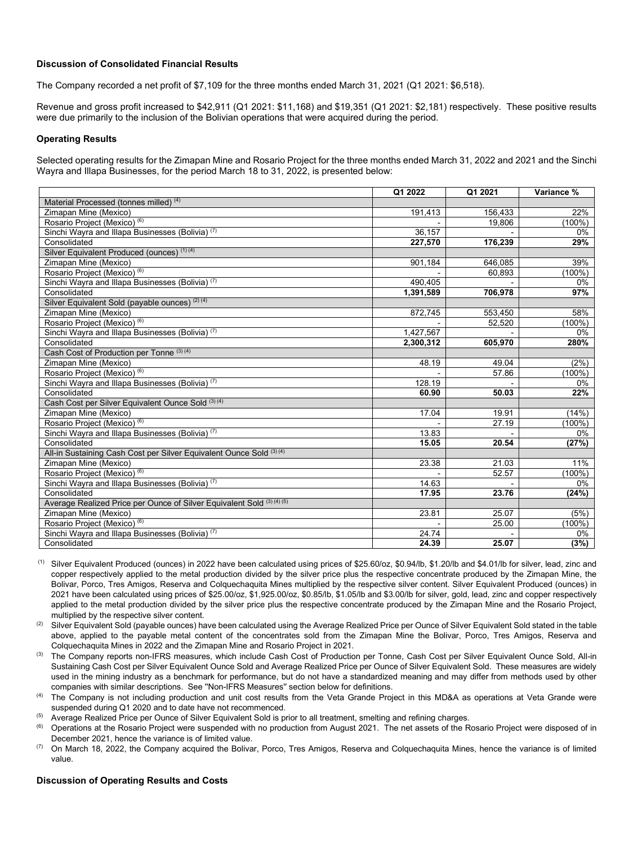## **Discussion of Consolidated Financial Results**

The Company recorded a net profit of \$7,109 for the three months ended March 31, 2021 (Q1 2021: \$6,518).

Revenue and gross profit increased to \$42,911 (Q1 2021: \$11,168) and \$19,351 (Q1 2021: \$2,181) respectively. These positive results were due primarily to the inclusion of the Bolivian operations that were acquired during the period.

## **Operating Results**

Selected operating results for the Zimapan Mine and Rosario Project for the three months ended March 31, 2022 and 2021 and the Sinchi Wayra and Illapa Businesses, for the period March 18 to 31, 2022, is presented below:

|                                                                        | Q1 2022   | Q1 2021 | Variance % |
|------------------------------------------------------------------------|-----------|---------|------------|
| Material Processed (tonnes milled) (4)                                 |           |         |            |
| Zimapan Mine (Mexico)                                                  | 191,413   | 156.433 | 22%        |
| Rosario Project (Mexico) (6)                                           |           | 19,806  | $(100\%)$  |
| Sinchi Wayra and Illapa Businesses (Bolivia) (7)                       | 36, 157   |         | $0\%$      |
| Consolidated                                                           | 227,570   | 176,239 | 29%        |
| Silver Equivalent Produced (ounces) (1) (4)                            |           |         |            |
| Zimapan Mine (Mexico)                                                  | 901,184   | 646.085 | 39%        |
| Rosario Project (Mexico) (6)                                           |           | 60,893  | $(100\%)$  |
| Sinchi Wayra and Illapa Businesses (Bolivia) (7)                       | 490,405   |         | $0\%$      |
| Consolidated                                                           | 1,391,589 | 706,978 | 97%        |
| Silver Equivalent Sold (payable ounces) (2) (4)                        |           |         |            |
| Zimapan Mine (Mexico)                                                  | 872,745   | 553,450 | 58%        |
| Rosario Project (Mexico) (6)                                           |           | 52,520  | $(100\%)$  |
| Sinchi Wayra and Illapa Businesses (Bolivia) <sup>(7)</sup>            | 1,427,567 |         | $0\%$      |
| Consolidated                                                           | 2,300,312 | 605,970 | 280%       |
| Cash Cost of Production per Tonne (3) (4)                              |           |         |            |
| Zimapan Mine (Mexico)                                                  | 48.19     | 49.04   | (2%)       |
| Rosario Project (Mexico) (6)                                           |           | 57.86   | $(100\%)$  |
| Sinchi Wayra and Illapa Businesses (Bolivia) (7)                       | 128.19    |         | $0\%$      |
| Consolidated                                                           | 60.90     | 50.03   | 22%        |
| Cash Cost per Silver Equivalent Ounce Sold (3) (4)                     |           |         |            |
| Zimapan Mine (Mexico)                                                  | 17.04     | 19.91   | (14%)      |
| Rosario Project (Mexico) (6)                                           |           | 27.19   | $(100\%)$  |
| Sinchi Wayra and Illapa Businesses (Bolivia) <sup>(7)</sup>            | 13.83     |         | $0\%$      |
| Consolidated                                                           | 15.05     | 20.54   | (27%)      |
| All-in Sustaining Cash Cost per Silver Equivalent Ounce Sold (3) (4)   |           |         |            |
| Zimapan Mine (Mexico)                                                  | 23.38     | 21.03   | 11%        |
| Rosario Project (Mexico) (6)                                           |           | 52.57   | $(100\%)$  |
| Sinchi Wayra and Illapa Businesses (Bolivia) <sup>(7)</sup>            | 14.63     |         | $0\%$      |
| Consolidated                                                           | 17.95     | 23.76   | (24%)      |
| Average Realized Price per Ounce of Silver Equivalent Sold (3) (4) (5) |           |         |            |
| Zimapan Mine (Mexico)                                                  | 23.81     | 25.07   | (5%)       |
| Rosario Project (Mexico) (6)                                           |           | 25.00   | $(100\%)$  |
| Sinchi Wayra and Illapa Businesses (Bolivia) <sup>(7)</sup>            | 24.74     |         | 0%         |
| Consolidated                                                           | 24.39     | 25.07   | (3%)       |

Silver Equivalent Produced (ounces) in 2022 have been calculated using prices of \$25.60/oz, \$0.94/lb, \$1.20/lb and \$4.01/lb for silver, lead, zinc and copper respectively applied to the metal production divided by the silver price plus the respective concentrate produced by the Zimapan Mine, the Bolivar, Porco, Tres Amigos, Reserva and Colquechaquita Mines multiplied by the respective silver content. Silver Equivalent Produced (ounces) in 2021 have been calculated using prices of \$25.00/oz, \$1,925.00/oz, \$0.85/lb, \$1.05/lb and \$3.00/lb for silver, gold, lead, zinc and copper respectively applied to the metal production divided by the silver price plus the respective concentrate produced by the Zimapan Mine and the Rosario Project, multiplied by the respective silver content.

Silver Equivalent Sold (payable ounces) have been calculated using the Average Realized Price per Ounce of Silver Equivalent Sold stated in the table above, applied to the payable metal content of the concentrates sold from the Zimapan Mine the Bolivar, Porco, Tres Amigos, Reserva and Colquechaquita Mines in 2022 and the Zimapan Mine and Rosario Project in 2021.<br><sup>(3)</sup> The Company reports non-IFRS measures, which include Cash Cost of Production per Tonne, Cash Cost per Silver Equivalent Ounce Sold, All-i

Sustaining Cash Cost per Silver Equivalent Ounce Sold and Average Realized Price per Ounce of Silver Equivalent Sold. These measures are widely used in the mining industry as a benchmark for performance, but do not have a standardized meaning and may differ from methods used by other companies with similar descriptions. See ''Non-IFRS Measures'' section below for definitions.

The Company is not including production and unit cost results from the Veta Grande Project in this MD&A as operations at Veta Grande were suspended during Q1 2020 and to date have not recommenced.

<sup>(5)</sup> Average Realized Price per Ounce of Silver Equivalent Sold is prior to all treatment, smelting and refining charges.

(6) Operations at the Rosario Project were suspended with no production from August 2021. The net assets of the Rosario Project were disposed of in December 2021, hence the variance is of limited value.<br>
(7) On March 18, 2022, the Company acquired the Bolivar, Porco, Tres Amigos, Reserva and Colquechaquita Mines, hence the variance is of limited

value.

## **Discussion of Operating Results and Costs**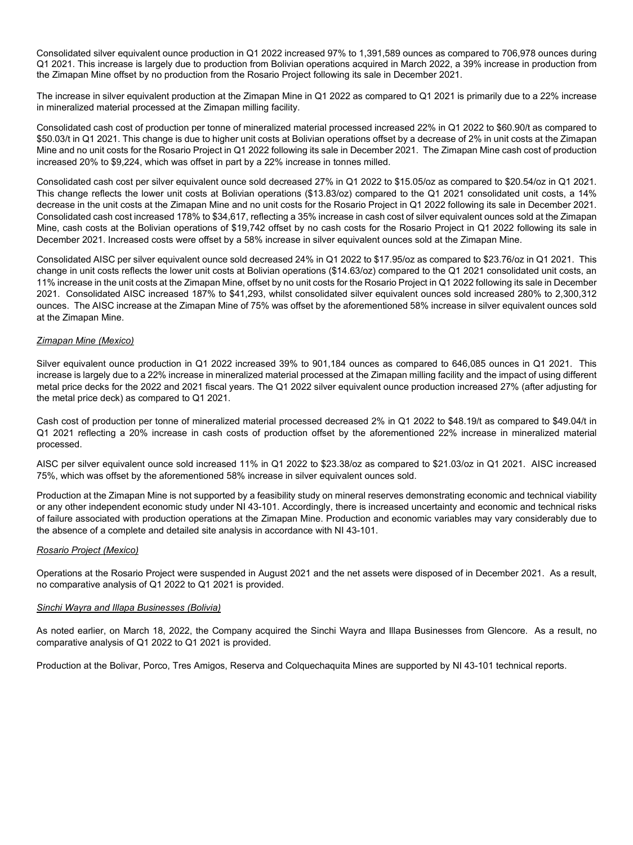Consolidated silver equivalent ounce production in Q1 2022 increased 97% to 1,391,589 ounces as compared to 706,978 ounces during Q1 2021. This increase is largely due to production from Bolivian operations acquired in March 2022, a 39% increase in production from the Zimapan Mine offset by no production from the Rosario Project following its sale in December 2021.

The increase in silver equivalent production at the Zimapan Mine in Q1 2022 as compared to Q1 2021 is primarily due to a 22% increase in mineralized material processed at the Zimapan milling facility.

Consolidated cash cost of production per tonne of mineralized material processed increased 22% in Q1 2022 to \$60.90/t as compared to \$50.03/t in Q1 2021. This change is due to higher unit costs at Bolivian operations offset by a decrease of 2% in unit costs at the Zimapan Mine and no unit costs for the Rosario Project in Q1 2022 following its sale in December 2021. The Zimapan Mine cash cost of production increased 20% to \$9,224, which was offset in part by a 22% increase in tonnes milled.

Consolidated cash cost per silver equivalent ounce sold decreased 27% in Q1 2022 to \$15.05/oz as compared to \$20.54/oz in Q1 2021. This change reflects the lower unit costs at Bolivian operations (\$13.83/oz) compared to the Q1 2021 consolidated unit costs, a 14% decrease in the unit costs at the Zimapan Mine and no unit costs for the Rosario Project in Q1 2022 following its sale in December 2021. Consolidated cash cost increased 178% to \$34,617, reflecting a 35% increase in cash cost of silver equivalent ounces sold at the Zimapan Mine, cash costs at the Bolivian operations of \$19,742 offset by no cash costs for the Rosario Project in Q1 2022 following its sale in December 2021. Increased costs were offset by a 58% increase in silver equivalent ounces sold at the Zimapan Mine.

Consolidated AISC per silver equivalent ounce sold decreased 24% in Q1 2022 to \$17.95/oz as compared to \$23.76/oz in Q1 2021. This change in unit costs reflects the lower unit costs at Bolivian operations (\$14.63/oz) compared to the Q1 2021 consolidated unit costs, an 11% increase in the unit costs at the Zimapan Mine, offset by no unit costs for the Rosario Project in Q1 2022 following its sale in December 2021. Consolidated AISC increased 187% to \$41,293, whilst consolidated silver equivalent ounces sold increased 280% to 2,300,312 ounces. The AISC increase at the Zimapan Mine of 75% was offset by the aforementioned 58% increase in silver equivalent ounces sold at the Zimapan Mine.

# *Zimapan Mine (Mexico)*

Silver equivalent ounce production in Q1 2022 increased 39% to 901,184 ounces as compared to 646,085 ounces in Q1 2021. This increase is largely due to a 22% increase in mineralized material processed at the Zimapan milling facility and the impact of using different metal price decks for the 2022 and 2021 fiscal years. The Q1 2022 silver equivalent ounce production increased 27% (after adjusting for the metal price deck) as compared to Q1 2021.

Cash cost of production per tonne of mineralized material processed decreased 2% in Q1 2022 to \$48.19/t as compared to \$49.04/t in Q1 2021 reflecting a 20% increase in cash costs of production offset by the aforementioned 22% increase in mineralized material processed.

AISC per silver equivalent ounce sold increased 11% in Q1 2022 to \$23.38/oz as compared to \$21.03/oz in Q1 2021. AISC increased 75%, which was offset by the aforementioned 58% increase in silver equivalent ounces sold.

Production at the Zimapan Mine is not supported by a feasibility study on mineral reserves demonstrating economic and technical viability or any other independent economic study under NI 43-101. Accordingly, there is increased uncertainty and economic and technical risks of failure associated with production operations at the Zimapan Mine. Production and economic variables may vary considerably due to the absence of a complete and detailed site analysis in accordance with NI 43-101.

### *Rosario Project (Mexico)*

Operations at the Rosario Project were suspended in August 2021 and the net assets were disposed of in December 2021. As a result, no comparative analysis of Q1 2022 to Q1 2021 is provided.

### *Sinchi Wayra and Illapa Businesses (Bolivia)*

As noted earlier, on March 18, 2022, the Company acquired the Sinchi Wayra and Illapa Businesses from Glencore. As a result, no comparative analysis of Q1 2022 to Q1 2021 is provided.

Production at the Bolivar, Porco, Tres Amigos, Reserva and Colquechaquita Mines are supported by NI 43-101 technical reports.